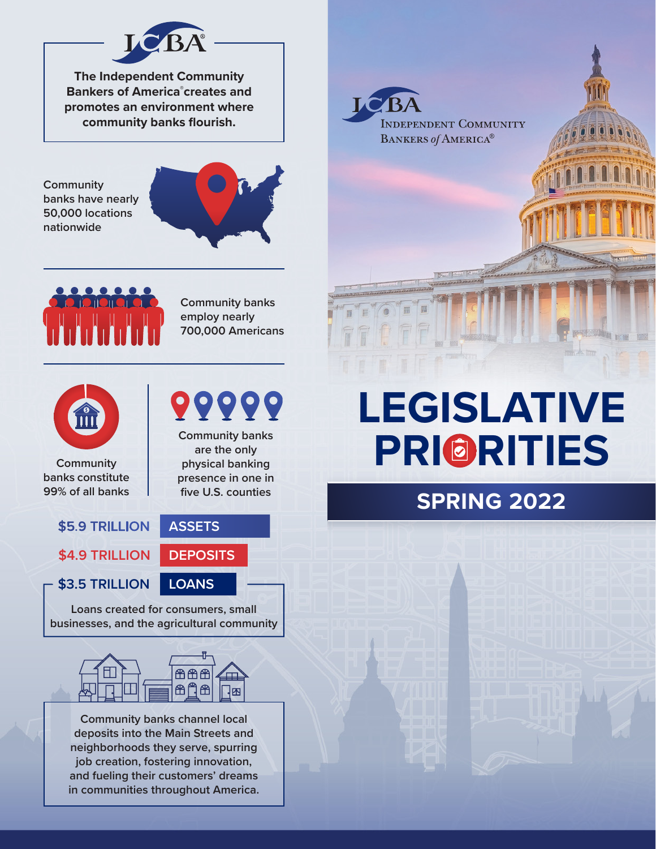

**The Independent Community Bankers of America® creates and promotes an environment where community banks flourish.**

**Community banks have nearly 50,000 locations nationwide**





**Community banks employ nearly 700,000 Americans**

**Community banks are the only physical banking** 

99999



**Community banks constitute 99% of all banks**

#### **presence in one in five U.S. counties ASSETS** \$5.9 TRILLION

**\$4.9 TRILLION DEPOSITS**

**\$3.5 TRILLION LOANS**

**Loans created for consumers, small businesses, and the agricultural community**



**Community banks channel local deposits into the Main Streets and neighborhoods they serve, spurring job creation, fostering innovation, and fueling their customers' dreams in communities throughout America.**

# **LEGISLATIVE PRI RITIES**

### **SPRING 2022**

LC<sup>B</sup>/ **INDEPENDENT COMMUNITY** BANKERS of AMERICA®